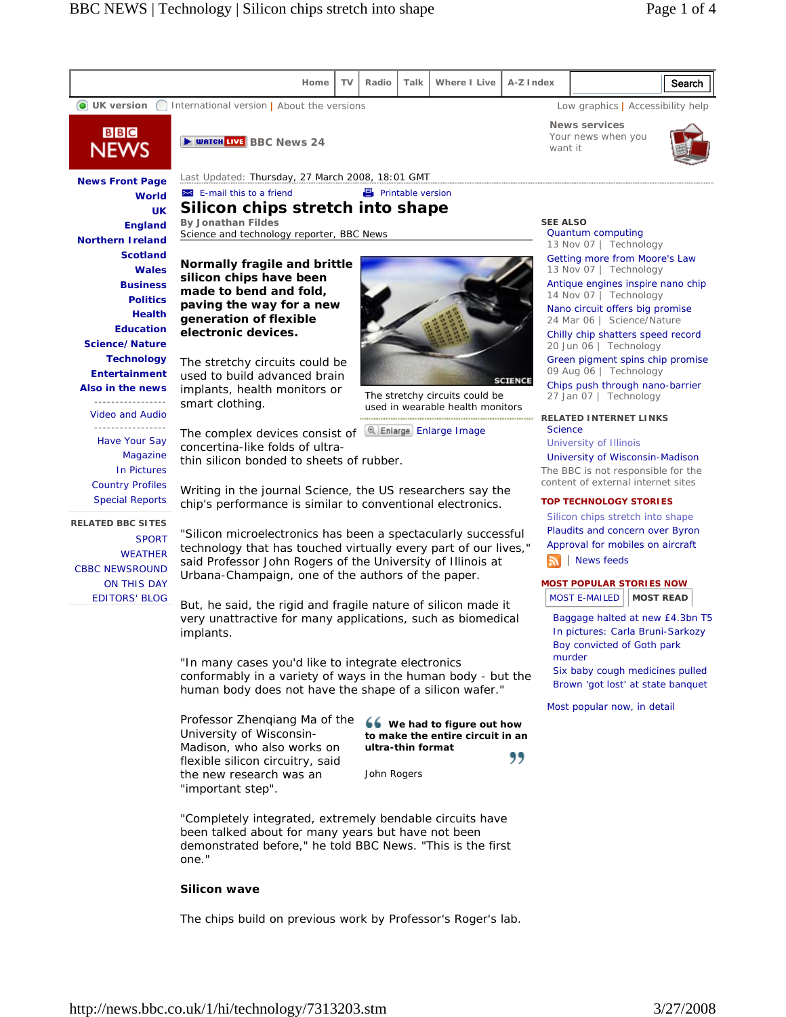

John Rogers

"Completely integrated, extremely bendable circuits have been talked about for many years but have not been demonstrated before," he told BBC News. "This is the first one."

## **Silicon wave**

the new research was an

"important step".

The chips build on previous work by Professor's Roger's lab.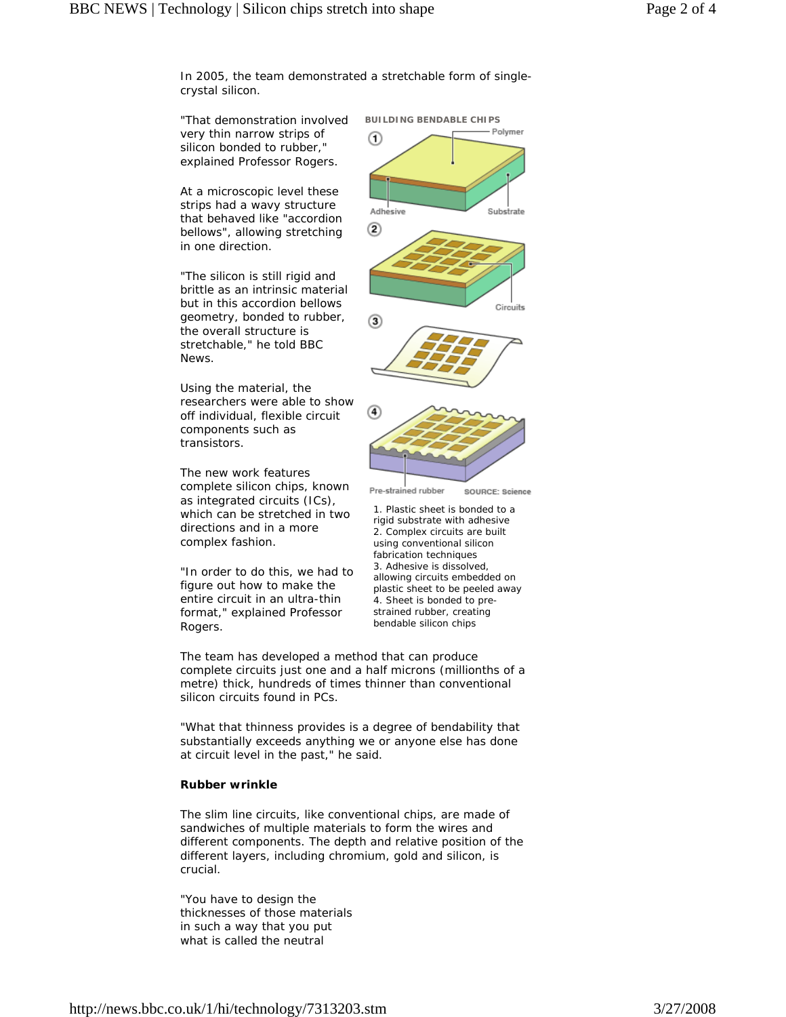In 2005, the team demonstrated a stretchable form of singlecrystal silicon.

"That demonstration involved very thin narrow strips of silicon bonded to rubber," explained Professor Rogers.

At a microscopic level these strips had a wavy structure that behaved like "accordion bellows", allowing stretching in one direction.

"The silicon is still rigid and brittle as an intrinsic material but in this accordion bellows geometry, bonded to rubber, the overall structure is stretchable," he told BBC News.

Using the material, the researchers were able to show off individual, flexible circuit components such as transistors.

The new work features complete silicon chips, known as integrated circuits (ICs), which can be stretched in two directions and in a more complex fashion.

"In order to do this, we had to figure out how to make the entire circuit in an ultra-thin format," explained Professor Rogers.



**BUILDING BENDABLE CHIPS** 



1. Plastic sheet is bonded to a rigid substrate with adhesive 2. Complex circuits are built using conventional silicon fabrication techniques 3. Adhesive is dissolved, allowing circuits embedded on plastic sheet to be peeled away 4. Sheet is bonded to prestrained rubber, creating bendable silicon chips

The team has developed a method that can produce complete circuits just one and a half microns (millionths of a metre) thick, hundreds of times thinner than conventional silicon circuits found in PCs.

"What that thinness provides is a degree of bendability that substantially exceeds anything we or anyone else has done at circuit level in the past," he said.

## **Rubber wrinkle**

The slim line circuits, like conventional chips, are made of sandwiches of multiple materials to form the wires and different components. The depth and relative position of the different layers, including chromium, gold and silicon, is crucial.

"You have to design the thicknesses of those materials in such a way that you put what is called the neutral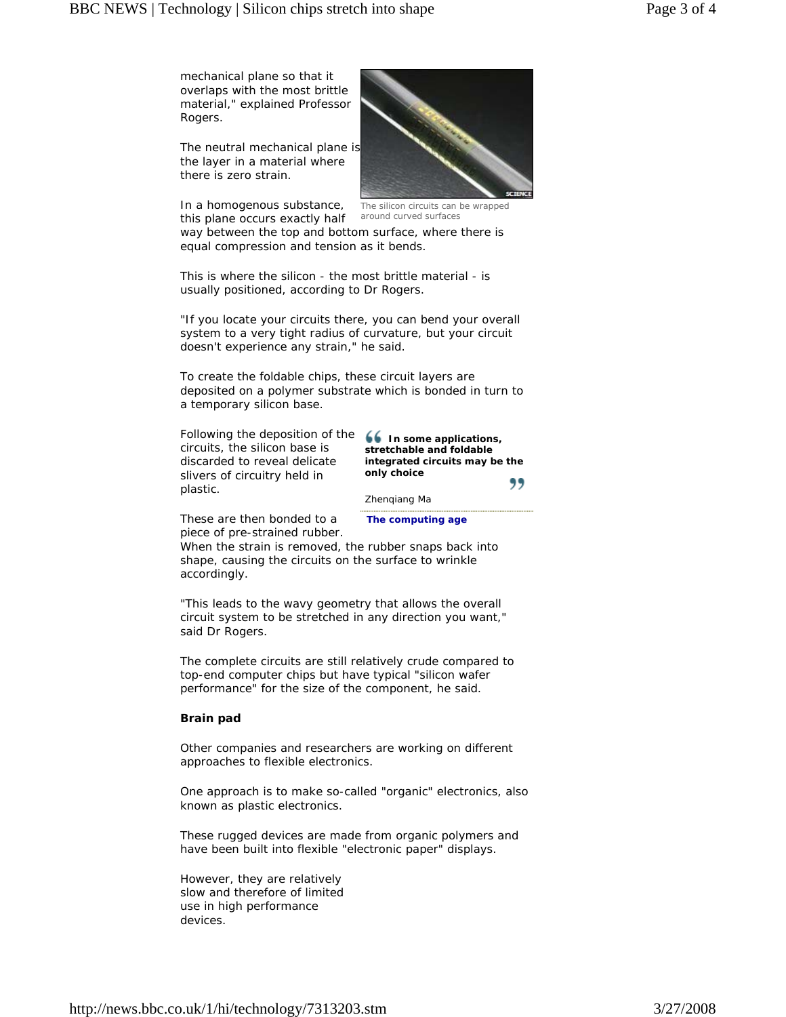mechanical plane so that it overlaps with the most brittle material," explained Professor Rogers.

The neutral mechanical plane is the layer in a material where there is zero strain.

In a homogenous substance, this plane occurs exactly half



The silicon circuits can be wrapped around curved surfaces

way between the top and bottom surface, where there is equal compression and tension as it bends.

This is where the silicon - the most brittle material - is usually positioned, according to Dr Rogers.

"If you locate your circuits there, you can bend your overall system to a very tight radius of curvature, but your circuit doesn't experience any strain," he said.

To create the foldable chips, these circuit layers are deposited on a polymer substrate which is bonded in turn to a temporary silicon base.

Following the deposition of the **66 In some applications**, circuits, the silicon base is discarded to reveal delicate slivers of circuitry held in plastic.

**stretchable and foldable integrated circuits may be the only choice** 99

Zhenqiang Ma

These are then bonded to a piece of pre-strained rubber. **The computing age**

When the strain is removed, the rubber snaps back into shape, causing the circuits on the surface to wrinkle accordingly.

"This leads to the wavy geometry that allows the overall circuit system to be stretched in any direction you want," said Dr Rogers.

The complete circuits are still relatively crude compared to top-end computer chips but have typical "silicon wafer performance" for the size of the component, he said.

## **Brain pad**

Other companies and researchers are working on different approaches to flexible electronics.

One approach is to make so-called "organic" electronics, also known as plastic electronics.

These rugged devices are made from organic polymers and have been built into flexible "electronic paper" displays.

However, they are relatively slow and therefore of limited use in high performance devices.